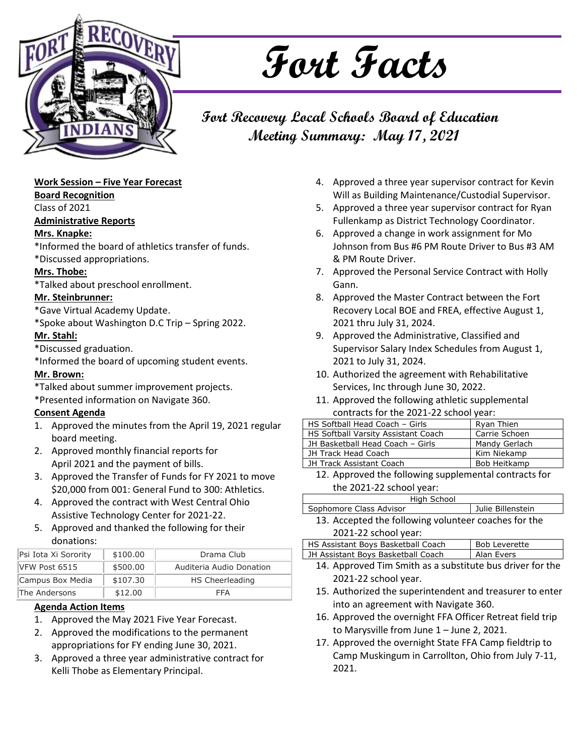

# **Fort Facts**

### **Fort Recovery Local Schools Board of Education Meeting Summary: May 17, 2021**

#### **Work Session – Five Year Forecast**

**Board Recognition**

Class of 2021

#### **Administrative Reports**

#### **Mrs. Knapke:**

\*Informed the board of athletics transfer of funds. \*Discussed appropriations.

### **Mrs. Thobe:**

\*Talked about preschool enrollment.

#### **Mr. Steinbrunner:**

\*Gave Virtual Academy Update.

\*Spoke about Washington D.C Trip – Spring 2022.

#### **Mr. Stahl:**

\*Discussed graduation.

\*Informed the board of upcoming student events.

#### **Mr. Brown:**

\*Talked about summer improvement projects.

\*Presented information on Navigate 360.

#### **Consent Agenda**

- 1. Approved the minutes from the April 19, 2021 regular board meeting.
- 2. Approved monthly financial reports for April 2021 and the payment of bills.
- 3. Approved the Transfer of Funds for FY 2021 to move \$20,000 from 001: General Fund to 300: Athletics.
- 4. Approved the contract with West Central Ohio Assistive Technology Center for 2021-22.
- 5. Approved and thanked the following for their donations:

| Psi Iota Xi Sorority | \$100.00 | Drama Club               |
|----------------------|----------|--------------------------|
| VFW Post 6515        | \$500.00 | Auditeria Audio Donation |
| Campus Box Media     | \$107.30 | HS Cheerleading          |
| The Andersons        | \$12.00  | FFA                      |

#### **Agenda Action Items**

- 1. Approved the May 2021 Five Year Forecast.
- 2. Approved the modifications to the permanent appropriations for FY ending June 30, 2021.
- 3. Approved a three year administrative contract for Kelli Thobe as Elementary Principal.
- 4. Approved a three year supervisor contract for Kevin Will as Building Maintenance/Custodial Supervisor.
- 5. Approved a three year supervisor contract for Ryan Fullenkamp as District Technology Coordinator.
- 6. Approved a change in work assignment for Mo Johnson from Bus #6 PM Route Driver to Bus #3 AM & PM Route Driver.
- 7. Approved the Personal Service Contract with Holly Gann.
- 8. Approved the Master Contract between the Fort Recovery Local BOE and FREA, effective August 1, 2021 thru July 31, 2024.
- 9. Approved the Administrative, Classified and Supervisor Salary Index Schedules from August 1, 2021 to July 31, 2024.
- 10. Authorized the agreement with Rehabilitative Services, Inc through June 30, 2022.
- 11. Approved the following athletic supplemental contracts for the 2021-22 school year:

| HS Softball Head Coach - Girls                                                                                                               | Ryan Thien    |  |
|----------------------------------------------------------------------------------------------------------------------------------------------|---------------|--|
| HS Softball Varsity Assistant Coach                                                                                                          | Carrie Schoen |  |
| JH Basketball Head Coach - Girls                                                                                                             | Mandy Gerlach |  |
| JH Track Head Coach                                                                                                                          | Kim Niekamp   |  |
| JH Track Assistant Coach                                                                                                                     | Bob Heitkamp  |  |
| $\overline{a}$ , and $\overline{b}$ , and $\overline{b}$ , and $\overline{b}$ , and $\overline{b}$ , and $\overline{b}$ , and $\overline{b}$ |               |  |

12. Approved the following supplemental contracts for the 2021-22 school year:

| High School                                         |                   |
|-----------------------------------------------------|-------------------|
| Sophomore Class Advisor                             | Julie Billenstein |
| 13 Accepted the following volunteer coaches for the |                   |

13. Accepted the following volunteer coaches for the 2021-22 school year:

| HS Assistant Boys Basketball Coach                         | <b>Bob Leverette</b> |  |
|------------------------------------------------------------|----------------------|--|
| JH Assistant Boys Basketball Coach                         | Alan Evers           |  |
| 1.4. Approved Tim Cmith as a substitute bus driver for the |                      |  |

- 14. Approved Tim Smith as a substitute bus driver for the 2021-22 school year.
- 15. Authorized the superintendent and treasurer to enter into an agreement with Navigate 360.
- 16. Approved the overnight FFA Officer Retreat field trip to Marysville from June 1 – June 2, 2021.
- 17. Approved the overnight State FFA Camp fieldtrip to Camp Muskingum in Carrollton, Ohio from July 7-11, 2021.